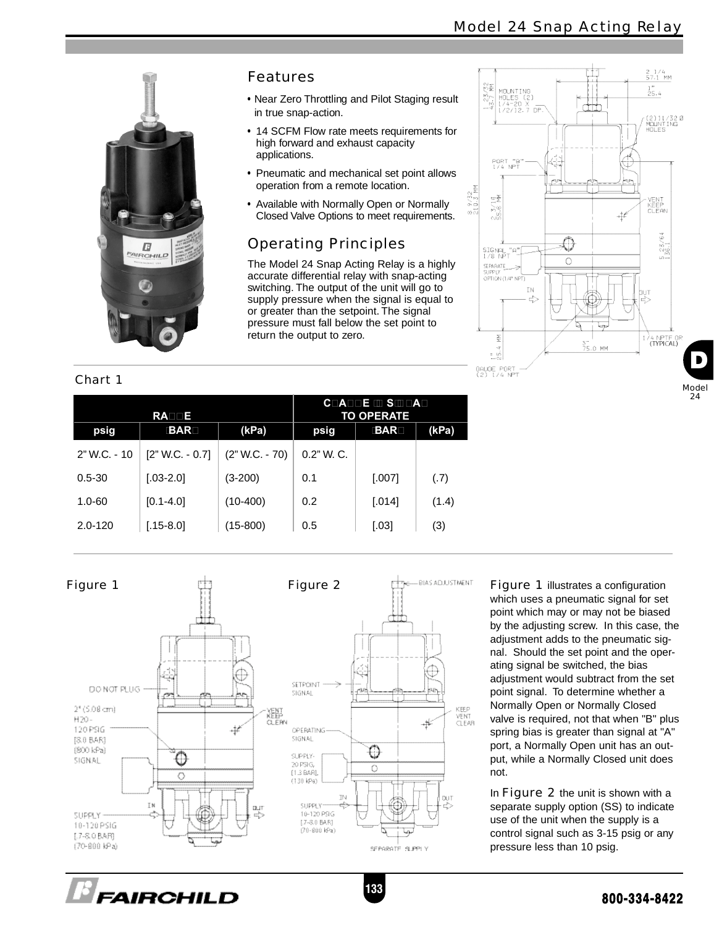

#### Chart 1

#### Features

- Near Zero Throttling and Pilot Staging result in true snap-action.
- 14 SCFM Flow rate meets requirements for high forward and exhaust capacity applications.
- Pneumatic and mechanical set point allows operation from a remote location.
- Available with Normally Open or Normally Closed Valve Options to meet requirements.

## Operating Principles

The Model 24 Snap Acting Relay is a highly accurate differential relay with snap-acting switching. The output of the unit will go to supply pressure when the signal is equal to or greater than the setpoint. The signal pressure must fall below the set point to return the output to zero.



| RADDE        |                   |                  | COADDE III SIDDAD<br><b>TO OPERATE</b> |            |       |
|--------------|-------------------|------------------|----------------------------------------|------------|-------|
| psig         | <b>BAR</b>        | (kPa)            | psig                                   | <b>BAR</b> | (kPa) |
| 2" W.C. - 10 | $[2" W.C. - 0.7]$ | $(2" W.C. - 70)$ | $0.2"$ W. C.                           |            |       |
| $0.5 - 30$   | $[.03 - 2.0]$     | (3-200)          | 0.1                                    | [.007]     | (.7)  |
| $1.0 - 60$   | $[0.1 - 4.0]$     | $(10-400)$       | 0.2                                    | [.014]     | (1.4) |
| $2.0 - 120$  | $[.15-8.0]$       | $(15-800)$       | 0.5                                    | [.03]      | (3)   |



Figure 1 illustrates a configuration which uses a pneumatic signal for set point which may or may not be biased by the adjusting screw. In this case, the adjustment adds to the pneumatic signal. Should the set point and the operating signal be switched, the bias adjustment would subtract from the set point signal. To determine whether a Normally Open or Normally Closed valve is required, not that when "B" plus spring bias is greater than signal at "A" port, a Normally Open unit has an output, while a Normally Closed unit does not.

In Figure 2 the unit is shown with a separate supply option (SS) to indicate use of the unit when the supply is a control signal such as 3-15 psig or any pressure less than 10 psig.